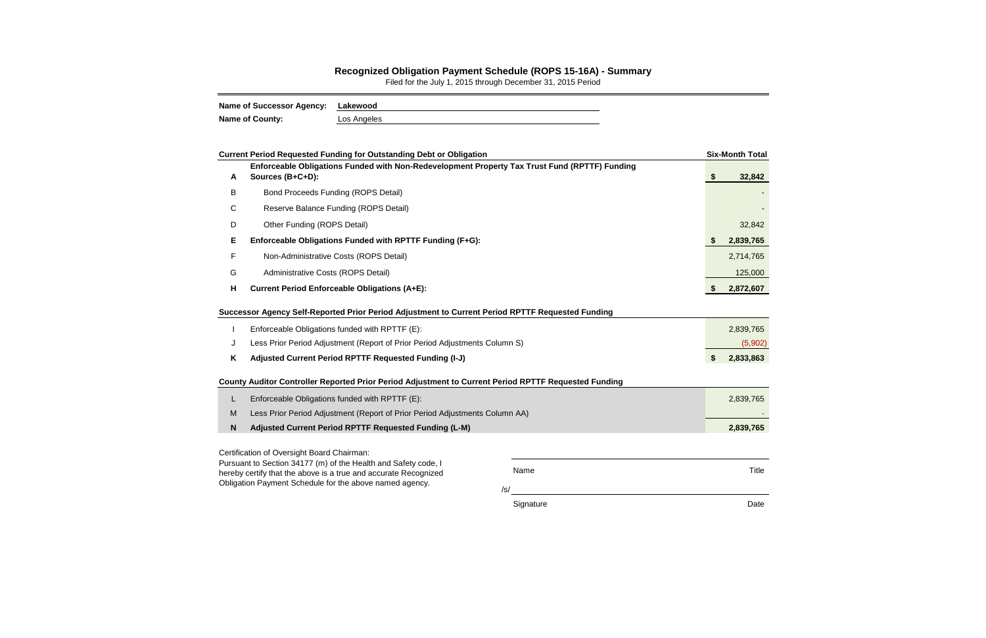## **Recognized Obligation Payment Schedule (ROPS 15-16A) - Summary**

Filed for the July 1, 2015 through December 31, 2015 Period

| <b>Name of Successor Agency:</b> | Lakewood    |
|----------------------------------|-------------|
| <b>Name of County:</b>           | Los Angeles |

|              | <b>Current Period Requested Funding for Outstanding Debt or Obligation</b>                                                                                                                   |             | <b>Six-Month Total</b> |
|--------------|----------------------------------------------------------------------------------------------------------------------------------------------------------------------------------------------|-------------|------------------------|
| A            | Enforceable Obligations Funded with Non-Redevelopment Property Tax Trust Fund (RPTTF) Funding<br>Sources (B+C+D):                                                                            |             | \$<br>32,842           |
| B            | <b>Bond Proceeds Funding (ROPS Detail)</b>                                                                                                                                                   |             |                        |
| C            | Reserve Balance Funding (ROPS Detail)                                                                                                                                                        |             |                        |
| D            | Other Funding (ROPS Detail)                                                                                                                                                                  |             | 32,842                 |
| Е            | Enforceable Obligations Funded with RPTTF Funding (F+G):                                                                                                                                     |             | 2,839,765              |
| F            | Non-Administrative Costs (ROPS Detail)                                                                                                                                                       |             | 2,714,765              |
| G            | Administrative Costs (ROPS Detail)                                                                                                                                                           |             | 125,000                |
| H            | <b>Current Period Enforceable Obligations (A+E):</b>                                                                                                                                         |             | 2,872,607              |
|              | Successor Agency Self-Reported Prior Period Adjustment to Current Period RPTTF Requested Funding                                                                                             |             |                        |
|              | Enforceable Obligations funded with RPTTF (E):                                                                                                                                               |             | 2,839,765              |
| J            | Less Prior Period Adjustment (Report of Prior Period Adjustments Column S)                                                                                                                   |             | (5,902)                |
| K            | Adjusted Current Period RPTTF Requested Funding (I-J)                                                                                                                                        |             | \$<br>2,833,863        |
|              | County Auditor Controller Reported Prior Period Adjustment to Current Period RPTTF Requested Funding                                                                                         |             |                        |
| L            | Enforceable Obligations funded with RPTTF (E):                                                                                                                                               |             | 2,839,765              |
| M            | Less Prior Period Adjustment (Report of Prior Period Adjustments Column AA)                                                                                                                  |             |                        |
| $\mathsf{N}$ | Adjusted Current Period RPTTF Requested Funding (L-M)                                                                                                                                        |             | 2,839,765              |
|              | Certification of Oversight Board Chairman:                                                                                                                                                   |             |                        |
|              | Pursuant to Section 34177 (m) of the Health and Safety code, I<br>hereby certify that the above is a true and accurate Recognized<br>Obligation Payment Schedule for the above named agency. | Name<br>/s/ | <b>Title</b>           |

Signature **Date**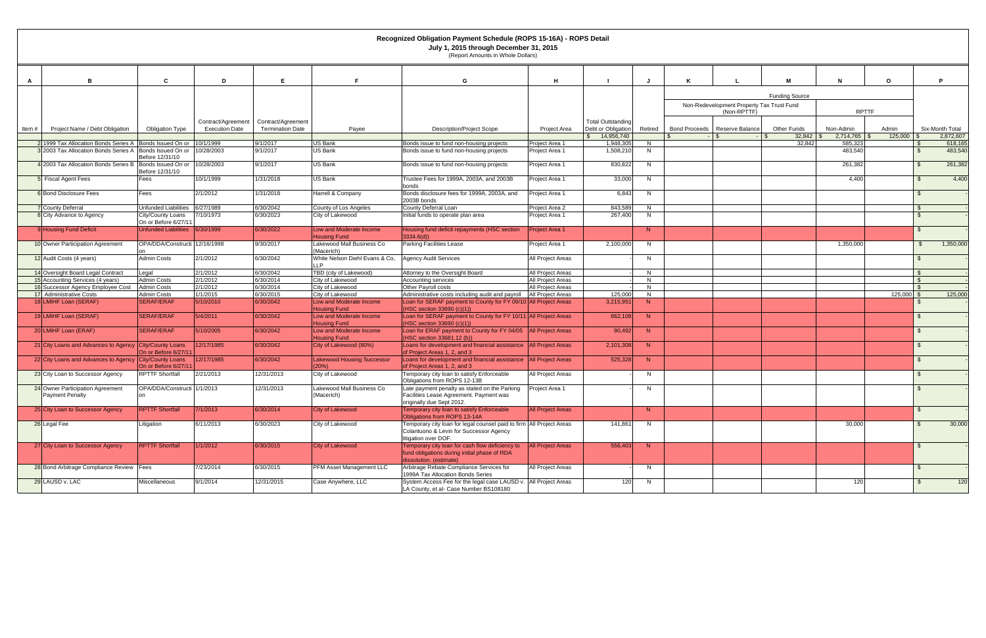|        |                                                                     |                                          |                       |                         |                                                | July 1, 2015 through December 31, 2015<br>(Report Amounts in Whole Dollars)                                                                    |                          |                          |                |                      |                                           |                       |                           |         |                |                      |
|--------|---------------------------------------------------------------------|------------------------------------------|-----------------------|-------------------------|------------------------------------------------|------------------------------------------------------------------------------------------------------------------------------------------------|--------------------------|--------------------------|----------------|----------------------|-------------------------------------------|-----------------------|---------------------------|---------|----------------|----------------------|
| A      | B                                                                   | C                                        | D                     | E                       | F.                                             | G                                                                                                                                              | H                        |                          |                |                      |                                           | м                     | N                         | $\circ$ |                | P                    |
|        |                                                                     |                                          |                       |                         |                                                |                                                                                                                                                |                          |                          |                |                      |                                           | <b>Funding Source</b> |                           |         |                |                      |
|        |                                                                     |                                          |                       |                         |                                                |                                                                                                                                                |                          |                          |                |                      | Non-Redevelopment Property Tax Trust Fund |                       |                           |         |                |                      |
|        |                                                                     |                                          |                       |                         |                                                |                                                                                                                                                |                          |                          |                |                      | (Non-RPTTF)                               |                       | <b>RPTTF</b>              |         |                |                      |
|        |                                                                     |                                          | Contract/Agreement    | Contract/Agreement      |                                                |                                                                                                                                                |                          | <b>Total Outstanding</b> |                |                      |                                           |                       |                           |         |                |                      |
| ltem # | Project Name / Debt Obligation                                      | Obligation Type                          | <b>Execution Date</b> | <b>Termination Date</b> | Payee                                          | <b>Description/Project Scope</b>                                                                                                               | Project Area             | Debt or Obligation       | Retired        | <b>Bond Proceeds</b> | Reserve Balance                           | Other Funds           | Non-Admin                 | Admin   |                | Six-Month Total      |
|        | 1999 Tax Allocation Bonds Series A   Bonds Issued On or   10/1/1999 |                                          |                       | 9/1/2017                | US Bank                                        | Bonds issue to fund non-housing projects                                                                                                       | Project Area 1           | 14,956,740<br>1,948,30   | N              |                      |                                           | $32,842$ \$<br>32,842 | $2,714,765$ \$<br>585,323 | 125,000 |                | 2,872,607<br>618,165 |
|        | 3 2003 Tax Allocation Bonds Series A                                | Bonds Issued On or<br>Before 12/31/10    | 10/28/2003            | 9/1/2017                | US Bank                                        | Bonds issue to fund non-housing projects                                                                                                       | Project Area 1           | 1,508,210                | N              |                      |                                           |                       | 483,540                   |         | <b>\$</b>      | 483,540              |
|        | 4 2003 Tax Allocation Bonds Series B                                | Bonds Issued On or<br>Before 12/31/10    | 10/28/2003            | 9/1/2017                | <b>US Bank</b>                                 | Bonds issue to fund non-housing projects                                                                                                       | Project Area 1           | 830,822                  | N              |                      |                                           |                       | 261,382                   |         | <b>\$</b>      | 261,382              |
|        | <b>5</b> Fiscal Agent Fees                                          | Fees                                     | 10/1/1999             | 1/31/2018               | <b>US Bank</b>                                 | Trustee Fees for 1999A, 2003A, and 2003B<br>bonds                                                                                              | Project Area 1           | 33,000                   | N.             |                      |                                           |                       | 4,400                     |         | - \$           | 4,400                |
|        | 6 Bond Disclosure Fees                                              | Fees                                     | 2/1/2012              | 1/31/2018               | Harrell & Company                              | Bonds disclosure fees for 1999A, 2003A, and<br>2003B bonds                                                                                     | Project Area 1           | 6,843                    | N.             |                      |                                           |                       |                           |         |                |                      |
|        | <b>7</b> County Deferral                                            | <b>Unfunded Liabilities</b>              | 6/27/1989             | 6/30/2042               | County of Los Angeles                          | <b>County Deferral Loan</b>                                                                                                                    | Project Area 2           | 843,589                  | N              |                      |                                           |                       |                           |         |                |                      |
|        | 8 City Advance to Agency                                            | City/County Loans<br>On or Before 6/27/1 | 7/10/1973             | 6/30/2023               | City of Lakewood                               | Initial funds to operate plan area                                                                                                             | Project Area 1           | 267,400                  | N              |                      |                                           |                       |                           |         |                |                      |
|        | 9 Housing Fund Deficit                                              | Unfunded Liabilities 6/30/1999           |                       | 6/30/2022               | Low and Moderate Income<br><b>Housing Fund</b> | Housing fund deficit repayments (HSC section<br>3334.6(d))                                                                                     | Project Area 1           |                          | N              |                      |                                           |                       |                           |         |                |                      |
|        | 10 Owner Participation Agreement                                    | OPA/DDA/Constructi 12/16/1998            |                       | 9/30/2017               | Lakewood Mall Business Co<br>Macerich)         | <b>Parking Facilities Lease</b>                                                                                                                | Project Area 1           | 2,100,000                | N.             |                      |                                           |                       | 1,350,000                 |         | \$             | 1,350,000            |
|        | 12 Audit Costs (4 years)                                            | <b>Admin Costs</b>                       | 2/1/2012              | 6/30/2042               | White Nelson Diehl Evans & Co,<br> P           | <b>Agency Audit Services</b>                                                                                                                   | All Project Areas        |                          | N              |                      |                                           |                       |                           |         | _\$            |                      |
|        | 14 Oversight Board Legal Contract                                   | Legal                                    | 2/1/2012              | 6/30/2042               | TBD (city of Lakewood)                         | Attorney to the Oversight Board                                                                                                                | All Project Areas        |                          | N              |                      |                                           |                       |                           |         | - \$           |                      |
|        | 15 Accounting Services (4 years)                                    | <b>Admin Costs</b>                       | 2/1/2012              | 6/30/2014               | City of Lakewood                               | Accounting services                                                                                                                            | All Project Areas        |                          | N              |                      |                                           |                       |                           |         | $\mathbb{S}$   |                      |
|        | 16 Successor Agency Employee Cost                                   | <b>Admin Costs</b>                       | 2/1/2012              | 6/30/2014               | City of Lakewood                               | Other Payroll costs                                                                                                                            | All Project Areas        |                          | N              |                      |                                           |                       |                           |         | $\mathsf{S}$   |                      |
|        | 17 Administrative Costs                                             | <b>Admin Costs</b>                       | 1/1/2015              | 6/30/2015               | City of Lakewood                               | Administrative costs including audit and payroll                                                                                               | All Project Areas        | 125,000                  | N              |                      |                                           |                       |                           | 125,000 |                | 125,000              |
|        | 18 LMIHF Loan (SERAF)                                               | <b>SERAF/ERAF</b>                        | 5/10/2010             | 6/30/2042               | Low and Moderate Income<br><b>Housing Fund</b> | Loan for SERAF payment to County for FY 09/10 All Project Areas<br>(HSC section 33690 (c)(1))                                                  |                          | 3,215,95                 | N              |                      |                                           |                       |                           |         |                |                      |
|        | 19 LMIHF Loan (SERAF)                                               | <b>SERAF/ERAF</b>                        | 5/4/2011              | 6/30/2042               | Low and Moderate Income<br><b>Housing Fund</b> | Loan for SERAF payment to County for FY 10/11 All Project Areas<br>(HSC section 33690 (c)(1))                                                  |                          | 662,108                  | N              |                      |                                           |                       |                           |         |                |                      |
|        | 20 LMIHF Loan (ERAF)                                                | SERAF/ERAF                               | 5/10/2005             | 6/30/2042               | Low and Moderate Income<br><b>Housing Fund</b> | Loan for ERAF payment to County for FY 04/05   All Project Areas<br>(HSC section 33681.12 (b))                                                 |                          | 90,492                   | N              |                      |                                           |                       |                           |         |                |                      |
|        | 21 City Loans and Advances to Agency City/County Loans              | On or Before 6/27/1                      | 12/17/1985            | 6/30/2042               | City of Lakewood (80%)                         | Loans for development and financial assistance   All Project Areas<br>of Project Areas 1, 2, and 3                                             |                          | 2,101,308                | N              |                      |                                           |                       |                           |         |                |                      |
|        | 22 City Loans and Advances to Agency City/County Loans              | On or Before 6/27/1                      | 12/17/1985            | 6/30/2042               | <b>Lakewood Housing Successor</b><br>20%       | Loans for development and financial assistance   All Project Areas<br>of Project Areas 1, 2, and 3                                             |                          | 525,328                  | N              |                      |                                           |                       |                           |         |                |                      |
|        | 23 City Loan to Successor Agency                                    | <b>RPTTF Shortfall</b>                   | 2/21/2013             | 12/31/2013              | City of Lakewood                               | Temporary city loan to satisfy Enforceable<br>Obligations from ROPS 12-13B                                                                     | All Project Areas        |                          | N              |                      |                                           |                       |                           |         |                |                      |
|        | 24 Owner Participation Agreement<br><b>Payment Penalty</b>          | OPA/DDA/Constructi 1/1/2013              |                       | 12/31/2013              | Lakewood Mall Business Co<br>(Macerich)        | Late payment penalty as stated on the Parking<br>Facilities Lease Agreement. Payment was<br>originally due Sept 2012.                          | Project Area 1           |                          | N              |                      |                                           |                       |                           |         |                |                      |
|        | 25 City Loan to Successor Agency                                    | <b>RPTTF Shortfall</b>                   | 7/1/2013              | 6/30/2014               | <b>City of Lakewood</b>                        | Temporary city loan to satisfy Enforceable<br>Obligations from ROPS 13-14A                                                                     | <b>All Project Areas</b> |                          | N              |                      |                                           |                       |                           |         |                |                      |
|        | 26 Legal Fee                                                        | Litigation                               | 6/11/2013             | 6/30/2023               | City of Lakewood                               | Temporary city loan for legal counsel paid to firm All Project Areas<br>Colantuono & Levin for Successor Agency<br>litigation over DOF.        |                          | 141,861                  | N              |                      |                                           |                       | 30,000                    |         | $\mathbb{S}$   | 30,000               |
|        | 27 City Loan to Successor Agency                                    | <b>RPTTF Shortfall</b>                   | 1/1/2012              | 6/30/2015               | <b>City of Lakewood</b>                        | Temporary city loan for cash flow deficiency to   All Project Areas<br>fund obligations during initial phase of RDA<br>dissolution. (estimate) |                          | 556,403                  | $\blacksquare$ |                      |                                           |                       |                           |         | $\mathfrak{L}$ |                      |
|        | 28 Bond Arbitrage Compliance Review Fees                            |                                          | 7/23/2014             | 6/30/2015               | PFM Asset Management LLC                       | Arbitrage Rebate Compliance Services for<br>1999A Tax Allocation Bonds Series                                                                  | All Project Areas        |                          | N              |                      |                                           |                       |                           |         | $\mathbb{S}$   |                      |
|        | 29 LAUSD v. LAC                                                     | Miscellaneous                            | 9/1/2014              | 12/31/2015              | Case Anywhere, LLC                             | System Access Fee for the legal case LAUSD v. All Project Areas<br>LA County, et al- Case Number BS108180                                      |                          | 120                      | N              |                      |                                           |                       | 120                       |         | $\mathfrak{S}$ | 120                  |

**Recognized Obligation Payment Schedule (ROPS 15-16A) - ROPS Detail**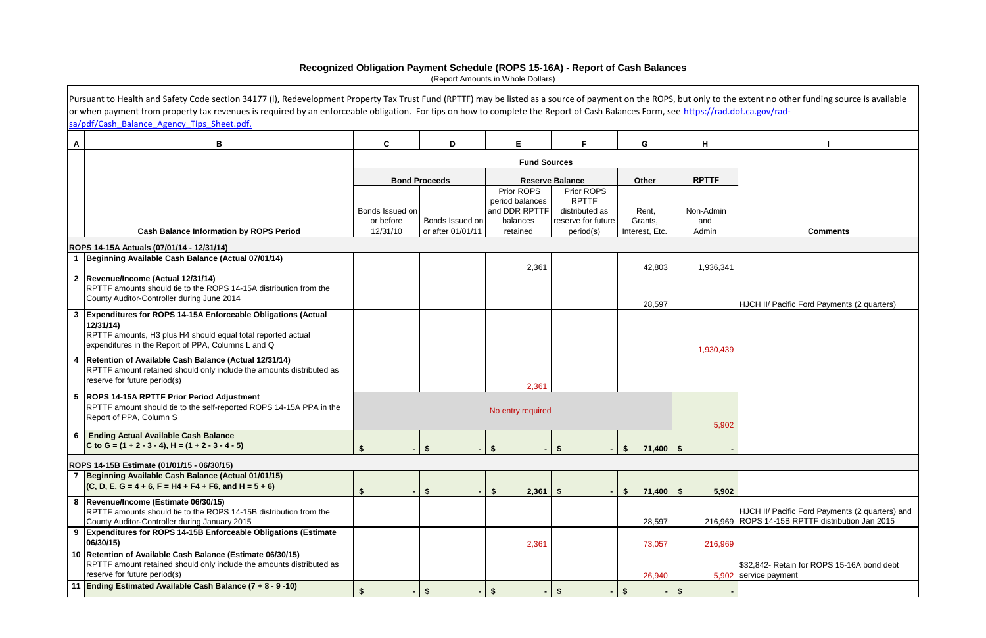|   | Pursuant to Health and Safety Code section 34177 (I), Redevelopment Property Tax Trust Fund (RPTTF) may be listed as a source of payment on the ROPS, but only to the extent no other funding source is available<br>or when payment from property tax revenues is required by an enforceable obligation. For tips on how to complete the Report of Cash Balances Form, see https://rad.dof.ca.gov/rad-<br>sa/pdf/Cash Balance Agency Tips Sheet.pdf. |                              |                      |                                                            |                                                                    |                     |                  |                                                                                                    |
|---|-------------------------------------------------------------------------------------------------------------------------------------------------------------------------------------------------------------------------------------------------------------------------------------------------------------------------------------------------------------------------------------------------------------------------------------------------------|------------------------------|----------------------|------------------------------------------------------------|--------------------------------------------------------------------|---------------------|------------------|----------------------------------------------------------------------------------------------------|
| A | В                                                                                                                                                                                                                                                                                                                                                                                                                                                     | C                            | D                    | E                                                          | F.                                                                 | G                   | H                |                                                                                                    |
|   |                                                                                                                                                                                                                                                                                                                                                                                                                                                       |                              |                      | <b>Fund Sources</b>                                        |                                                                    |                     |                  |                                                                                                    |
|   |                                                                                                                                                                                                                                                                                                                                                                                                                                                       |                              | <b>Bond Proceeds</b> |                                                            | <b>Reserve Balance</b>                                             | <b>Other</b>        | <b>RPTTF</b>     |                                                                                                    |
|   |                                                                                                                                                                                                                                                                                                                                                                                                                                                       | Bonds Issued on<br>or before | Bonds Issued on      | Prior ROPS<br>period balances<br>and DDR RPTTF<br>balances | Prior ROPS<br><b>RPTTF</b><br>distributed as<br>reserve for future | Rent,<br>Grants,    | Non-Admin<br>and |                                                                                                    |
|   | <b>Cash Balance Information by ROPS Period</b>                                                                                                                                                                                                                                                                                                                                                                                                        | 12/31/10                     | or after 01/01/11    | retained                                                   | period(s)                                                          | Interest, Etc.      | Admin            | <b>Comments</b>                                                                                    |
|   | ROPS 14-15A Actuals (07/01/14 - 12/31/14)<br>1 Beginning Available Cash Balance (Actual 07/01/14)                                                                                                                                                                                                                                                                                                                                                     |                              |                      |                                                            |                                                                    |                     |                  |                                                                                                    |
|   |                                                                                                                                                                                                                                                                                                                                                                                                                                                       |                              |                      | 2,361                                                      |                                                                    | 42,803              | 1,936,341        |                                                                                                    |
|   | 2 Revenue/Income (Actual 12/31/14)<br>RPTTF amounts should tie to the ROPS 14-15A distribution from the<br>County Auditor-Controller during June 2014                                                                                                                                                                                                                                                                                                 |                              |                      |                                                            |                                                                    | 28,597              |                  | HJCH II/ Pacific Ford Payments (2 quarters)                                                        |
| 3 | Expenditures for ROPS 14-15A Enforceable Obligations (Actual<br>12/31/14<br>RPTTF amounts, H3 plus H4 should equal total reported actual<br>expenditures in the Report of PPA, Columns L and Q                                                                                                                                                                                                                                                        |                              |                      |                                                            |                                                                    |                     | 1,930,439        |                                                                                                    |
| 4 | Retention of Available Cash Balance (Actual 12/31/14)<br>RPTTF amount retained should only include the amounts distributed as<br>reserve for future period(s)                                                                                                                                                                                                                                                                                         |                              |                      | 2,361                                                      |                                                                    |                     |                  |                                                                                                    |
|   | 5  ROPS 14-15A RPTTF Prior Period Adjustment<br>RPTTF amount should tie to the self-reported ROPS 14-15A PPA in the<br>Report of PPA, Column S                                                                                                                                                                                                                                                                                                        |                              |                      | No entry required                                          |                                                                    |                     | 5,902            |                                                                                                    |
| 6 | <b>Ending Actual Available Cash Balance</b><br>C to G = $(1 + 2 - 3 - 4)$ , H = $(1 + 2 - 3 - 4 - 5)$                                                                                                                                                                                                                                                                                                                                                 | \$                           | $-$ \$               | $-$ \$                                                     |                                                                    | \$<br>$71,400$ \$   |                  |                                                                                                    |
|   | ROPS 14-15B Estimate (01/01/15 - 06/30/15)                                                                                                                                                                                                                                                                                                                                                                                                            |                              |                      |                                                            |                                                                    |                     |                  |                                                                                                    |
|   | 7 Beginning Available Cash Balance (Actual 01/01/15)<br>$(C, D, E, G = 4 + 6, F = H4 + F4 + F6, and H = 5 + 6)$                                                                                                                                                                                                                                                                                                                                       | S.                           | $\sqrt[6]{2}$        | 2,361<br>S                                                 | - \$                                                               | $71,400$ \ \$<br>\$ | 5,902            |                                                                                                    |
|   | 8  Revenue/Income (Estimate 06/30/15)<br>RPTTF amounts should tie to the ROPS 14-15B distribution from the<br>County Auditor-Controller during January 2015                                                                                                                                                                                                                                                                                           |                              |                      |                                                            |                                                                    | 28,597              |                  | HJCH II/ Pacific Ford Payments (2 quarters) and<br>216,969 ROPS 14-15B RPTTF distribution Jan 2015 |
|   | <b>Expenditures for ROPS 14-15B Enforceable Obligations (Estimate</b><br>06/30/15)                                                                                                                                                                                                                                                                                                                                                                    |                              |                      | 2,361                                                      |                                                                    | 73,057              | 216,969          |                                                                                                    |
|   | 10 Retention of Available Cash Balance (Estimate 06/30/15)<br>RPTTF amount retained should only include the amounts distributed as<br>reserve for future period(s)                                                                                                                                                                                                                                                                                    |                              |                      |                                                            |                                                                    | 26,940              |                  | \$32,842- Retain for ROPS 15-16A bond debt<br>5,902 service payment                                |
|   | 11 Ending Estimated Available Cash Balance (7 + 8 - 9 -10)                                                                                                                                                                                                                                                                                                                                                                                            | \$                           | -\$                  |                                                            |                                                                    |                     |                  |                                                                                                    |

## **Recognized Obligation Payment Schedule (ROPS 15-16A) - Report of Cash Balances**

(Report Amounts in Whole Dollars)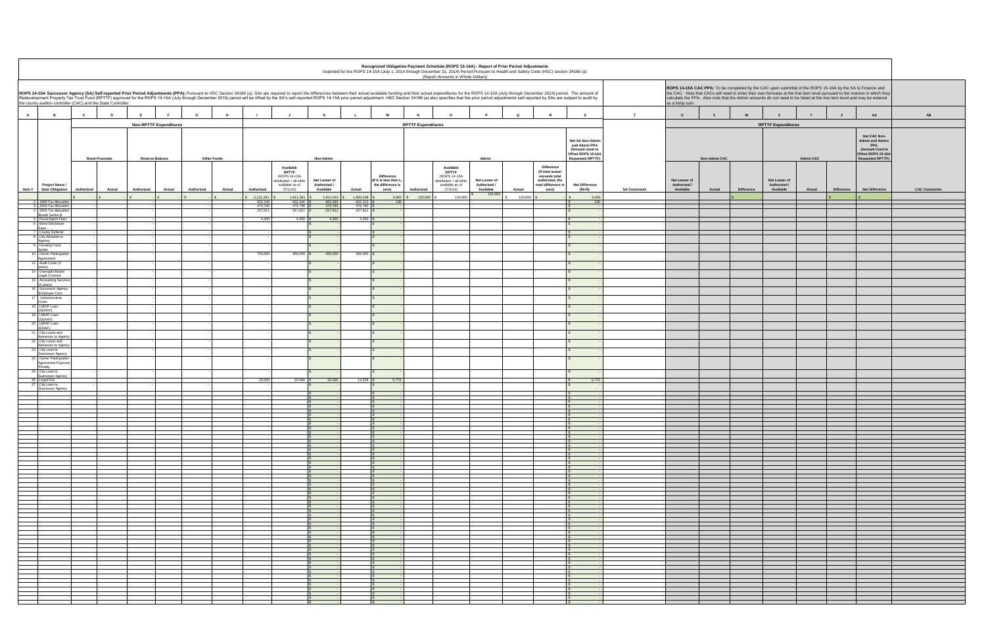|                    | ROPS 14-15A CAC PPA: To be completed by the CAC upon submittal of the ROPS 15-16A by the SA to Finance and<br>the CAC. Note that CACs will need to enter their own formulas at the line item level pursuant to the manner in which they<br>calculate the PPA. Also note that the Admin amounts do not need to be listed at the line item level and may be entered<br>as a lump sum. |                      |                   |                                            |                  |             |                                                                                                                   |                      |
|--------------------|-------------------------------------------------------------------------------------------------------------------------------------------------------------------------------------------------------------------------------------------------------------------------------------------------------------------------------------------------------------------------------------|----------------------|-------------------|--------------------------------------------|------------------|-------------|-------------------------------------------------------------------------------------------------------------------|----------------------|
| $\mathbf T$        | $\sf U$                                                                                                                                                                                                                                                                                                                                                                             | $\mathsf{v}$         | ${\bf W}$         | $\pmb{\mathsf{x}}$                         | Y                | $\mathsf z$ | ${\sf AA}$                                                                                                        | $\mathbf A\mathbf B$ |
|                    |                                                                                                                                                                                                                                                                                                                                                                                     |                      |                   | <b>RPTTF Expenditures</b>                  |                  |             |                                                                                                                   |                      |
|                    |                                                                                                                                                                                                                                                                                                                                                                                     | <b>Non-Admin CAC</b> |                   |                                            | <b>Admin CAC</b> |             | Net CAC Non-<br><b>Admin and Admin</b><br>PPA<br>(Amount Used to<br>Offset ROPS 15-16A<br><b>Requested RPTTF)</b> |                      |
| <b>SA Comments</b> | Net Lesser of<br>Authorized /<br>Available                                                                                                                                                                                                                                                                                                                                          | Actual               | <b>Difference</b> | Net Lesser of<br>Authorized /<br>Available | Actual           | Difference  | Net Difference                                                                                                    | <b>CAC Comments</b>  |
|                    |                                                                                                                                                                                                                                                                                                                                                                                     |                      | \$                |                                            |                  | \$<br>٠     | $\mathbb S$                                                                                                       |                      |
|                    |                                                                                                                                                                                                                                                                                                                                                                                     |                      |                   |                                            |                  |             |                                                                                                                   |                      |
|                    |                                                                                                                                                                                                                                                                                                                                                                                     |                      |                   |                                            |                  |             |                                                                                                                   |                      |
|                    |                                                                                                                                                                                                                                                                                                                                                                                     |                      |                   |                                            |                  |             |                                                                                                                   |                      |
|                    |                                                                                                                                                                                                                                                                                                                                                                                     |                      |                   |                                            |                  |             |                                                                                                                   |                      |
|                    |                                                                                                                                                                                                                                                                                                                                                                                     |                      |                   |                                            |                  |             |                                                                                                                   |                      |
|                    |                                                                                                                                                                                                                                                                                                                                                                                     |                      |                   |                                            |                  |             |                                                                                                                   |                      |
|                    |                                                                                                                                                                                                                                                                                                                                                                                     |                      |                   |                                            |                  |             |                                                                                                                   |                      |
|                    |                                                                                                                                                                                                                                                                                                                                                                                     |                      |                   |                                            |                  |             |                                                                                                                   |                      |
|                    |                                                                                                                                                                                                                                                                                                                                                                                     |                      |                   |                                            |                  |             |                                                                                                                   |                      |
|                    |                                                                                                                                                                                                                                                                                                                                                                                     |                      |                   |                                            |                  |             |                                                                                                                   |                      |
|                    |                                                                                                                                                                                                                                                                                                                                                                                     |                      |                   |                                            |                  |             |                                                                                                                   |                      |
|                    |                                                                                                                                                                                                                                                                                                                                                                                     |                      |                   |                                            |                  |             |                                                                                                                   |                      |
|                    |                                                                                                                                                                                                                                                                                                                                                                                     |                      |                   |                                            |                  |             |                                                                                                                   |                      |
|                    |                                                                                                                                                                                                                                                                                                                                                                                     |                      |                   |                                            |                  |             |                                                                                                                   |                      |
|                    |                                                                                                                                                                                                                                                                                                                                                                                     |                      |                   |                                            |                  |             |                                                                                                                   |                      |
|                    |                                                                                                                                                                                                                                                                                                                                                                                     |                      |                   |                                            |                  |             |                                                                                                                   |                      |
|                    |                                                                                                                                                                                                                                                                                                                                                                                     |                      |                   |                                            |                  |             |                                                                                                                   |                      |
|                    |                                                                                                                                                                                                                                                                                                                                                                                     |                      |                   |                                            |                  |             |                                                                                                                   |                      |
|                    |                                                                                                                                                                                                                                                                                                                                                                                     |                      |                   |                                            |                  |             |                                                                                                                   |                      |
|                    |                                                                                                                                                                                                                                                                                                                                                                                     |                      |                   |                                            |                  |             |                                                                                                                   |                      |
|                    |                                                                                                                                                                                                                                                                                                                                                                                     |                      |                   |                                            |                  |             |                                                                                                                   |                      |
|                    |                                                                                                                                                                                                                                                                                                                                                                                     |                      |                   |                                            |                  |             |                                                                                                                   |                      |
|                    |                                                                                                                                                                                                                                                                                                                                                                                     |                      |                   |                                            |                  |             |                                                                                                                   |                      |
|                    |                                                                                                                                                                                                                                                                                                                                                                                     |                      |                   |                                            |                  |             |                                                                                                                   |                      |
|                    |                                                                                                                                                                                                                                                                                                                                                                                     |                      |                   |                                            |                  |             |                                                                                                                   |                      |
|                    |                                                                                                                                                                                                                                                                                                                                                                                     |                      |                   |                                            |                  |             |                                                                                                                   |                      |
|                    |                                                                                                                                                                                                                                                                                                                                                                                     |                      |                   |                                            |                  |             |                                                                                                                   |                      |
|                    |                                                                                                                                                                                                                                                                                                                                                                                     |                      |                   |                                            |                  |             |                                                                                                                   |                      |
|                    |                                                                                                                                                                                                                                                                                                                                                                                     |                      |                   |                                            |                  |             |                                                                                                                   |                      |
|                    |                                                                                                                                                                                                                                                                                                                                                                                     |                      |                   |                                            |                  |             |                                                                                                                   |                      |
|                    |                                                                                                                                                                                                                                                                                                                                                                                     |                      |                   |                                            |                  |             |                                                                                                                   |                      |
|                    |                                                                                                                                                                                                                                                                                                                                                                                     |                      |                   |                                            |                  |             |                                                                                                                   |                      |
|                    |                                                                                                                                                                                                                                                                                                                                                                                     |                      |                   |                                            |                  |             |                                                                                                                   |                      |
|                    |                                                                                                                                                                                                                                                                                                                                                                                     |                      |                   |                                            |                  |             |                                                                                                                   |                      |
|                    |                                                                                                                                                                                                                                                                                                                                                                                     |                      |                   |                                            |                  |             |                                                                                                                   |                      |
|                    |                                                                                                                                                                                                                                                                                                                                                                                     |                      |                   |                                            |                  |             |                                                                                                                   |                      |
|                    |                                                                                                                                                                                                                                                                                                                                                                                     |                      |                   |                                            |                  |             |                                                                                                                   |                      |
|                    |                                                                                                                                                                                                                                                                                                                                                                                     |                      |                   |                                            |                  |             |                                                                                                                   |                      |

|                |                                                                       |                                                               |            |                               |                      |                               |                                                                                         |                                                                                                                                                            |                               |                                                         |                           | Recognized Obligation Payment Schedule (ROPS 15-16A) - Report of Prior Period Adjustments<br>Reported for the ROPS 14-15A (July 1, 2014 through December 31, 2014) Period Pursuant to Health and Safety Code (HSC) section 34186 (a)<br>(Report Amounts in Whole Dollars)                                                                                                                                                                                        |                   |                                                                                                  |                                                                                                       |                       |                |                      |                                                                                                                                                                                                                                      |                           |                  |                               |                                                                                                                           |  |  |
|----------------|-----------------------------------------------------------------------|---------------------------------------------------------------|------------|-------------------------------|----------------------|-------------------------------|-----------------------------------------------------------------------------------------|------------------------------------------------------------------------------------------------------------------------------------------------------------|-------------------------------|---------------------------------------------------------|---------------------------|------------------------------------------------------------------------------------------------------------------------------------------------------------------------------------------------------------------------------------------------------------------------------------------------------------------------------------------------------------------------------------------------------------------------------------------------------------------|-------------------|--------------------------------------------------------------------------------------------------|-------------------------------------------------------------------------------------------------------|-----------------------|----------------|----------------------|--------------------------------------------------------------------------------------------------------------------------------------------------------------------------------------------------------------------------------------|---------------------------|------------------|-------------------------------|---------------------------------------------------------------------------------------------------------------------------|--|--|
|                |                                                                       | the county auditor-controller (CAC) and the State Controller. |            |                               |                      |                               |                                                                                         |                                                                                                                                                            |                               |                                                         |                           | ROPS 14-15A Successor Agency (SA) Self-reported Prior Period Adjustments (PPA): Pursuant to HSC Section 34186 (a), SAs are required to report the differences between their actual available funding and their actual expendit<br>Redevelopment Property Tax Trust Fund (RPTTF) approved for the ROPS 15-16A (July through December 2015) period will be offset by the SA's self-reported ROPS 14-15A prior period adjustment. HSC Section 34186 (a) also specif |                   |                                                                                                  |                                                                                                       |                       | as a lump sum. |                      | ROPS 14-15A CAC PPA: To be completed by the CAC upon submittal of the ROPS 15-16A by the SA to Finance and<br>calculate the PPA. Also note that the Admin amounts do not need to be listed at the line item level and may be entered |                           |                  |                               | the CAC. Note that CACs will need to enter their own formulas at the line item level pursuant to the manner in which they |  |  |
| $\overline{A}$ | $\overline{B}$                                                        | $\mathbf{c}$<br>D                                             | E          | F                             | G<br>H               |                               | $\mathbf{J}$                                                                            | $\kappa$                                                                                                                                                   |                               | <b>M</b>                                                | N                         | $\Omega$<br>P                                                                                                                                                                                                                                                                                                                                                                                                                                                    | $\mathbf Q$       | R                                                                                                | S                                                                                                     | T                     | $\mathsf{U}$   | $\mathbf{v}$         | W                                                                                                                                                                                                                                    | $\mathbf{x}$              | $\mathbf{v}$     | $\mathbf{z}$                  | AB<br>AA                                                                                                                  |  |  |
|                |                                                                       |                                                               |            | <b>Non-RPTTF Expenditures</b> |                      |                               |                                                                                         |                                                                                                                                                            |                               |                                                         | <b>RPTTF Expenditures</b> |                                                                                                                                                                                                                                                                                                                                                                                                                                                                  |                   |                                                                                                  |                                                                                                       |                       |                |                      |                                                                                                                                                                                                                                      | <b>RPTTF Expenditures</b> |                  |                               |                                                                                                                           |  |  |
|                |                                                                       | <b>Bond Proceeds</b>                                          |            | <b>Reserve Balance</b>        | <b>Other Funds</b>   |                               |                                                                                         | Non-Admin                                                                                                                                                  |                               |                                                         |                           | Admin                                                                                                                                                                                                                                                                                                                                                                                                                                                            |                   |                                                                                                  | Net SA Non-Admin<br>and Admin PPA<br>(Amount Used to<br>Offset ROPS 15-16A<br><b>Requested RPTTF)</b> |                       |                | <b>Non-Admin CAC</b> |                                                                                                                                                                                                                                      |                           | <b>Admin CAC</b> |                               | Net CAC Non-<br><b>Admin and Admin</b><br><b>PPA</b><br>(Amount Used to<br>Offset ROPS 15-16A<br><b>Requested RPTTF)</b>  |  |  |
|                | Project Name /                                                        |                                                               |            |                               |                      |                               | Available<br><b>RPTTF</b><br>(ROPS 14-15A<br>distributed + all other<br>available as of | Net Lesser of<br>Authorized /                                                                                                                              |                               | Difference<br>(If K is less than L<br>the difference is |                           | Available<br><b>RPTTF</b><br>(ROPS 14-15A<br>Net Lesser of<br>distributed + all other<br>available as of<br>Authorized /                                                                                                                                                                                                                                                                                                                                         |                   | <b>Difference</b><br>(If total actual<br>exceeds total<br>authorized, the<br>total difference is |                                                                                                       | <b>Net Difference</b> |                |                      | Net Lesser of<br>Authorized /                                                                                                                                                                                                        |                           |                  | Net Lesser of<br>Authorized / |                                                                                                                           |  |  |
| Item #         | <b>Debt Obligation</b>                                                | Authorized<br>Actual                                          | Authorized | Actual                        | Authorized<br>Actual | Authorized<br>2,111,341       | 07/1/14)<br>1,811,341                                                                   | Available<br>1,811,341                                                                                                                                     | Actual<br>1,805,439           | zero)<br>$5,902$ \$                                     | Authorized<br>125,000 \$  | 07/1/14<br>Available<br>125,000<br>125,000                                                                                                                                                                                                                                                                                                                                                                                                                       | Actual<br>125,000 | zero)                                                                                            | $(M+R)$<br>5,902                                                                                      | <b>SA Comments</b>    | Available      | Actual               | <b>Difference</b>                                                                                                                                                                                                                    | Available                 | Actual           | Difference                    | <b>Net Difference</b><br><b>CAC Com</b>                                                                                   |  |  |
|                | 1999 Tax Allocation<br>3 2003 Tax Allocation<br>4 2003 Tax Allocation |                                                               |            |                               |                      | 602,340<br>476,790<br>257,811 | 602,340<br>476,790<br>257,811                                                           | 602,340<br>476,790<br>257,811                                                                                                                              | 602,210<br>476,790<br>257,811 | 130                                                     |                           |                                                                                                                                                                                                                                                                                                                                                                                                                                                                  |                   |                                                                                                  |                                                                                                       |                       |                |                      |                                                                                                                                                                                                                                      |                           |                  |                               |                                                                                                                           |  |  |
|                | <b>Bonds Series B</b><br>5 Fiscal Agent Fees<br>6 Bond Disclosure     |                                                               |            |                               |                      | 4,400                         | $4,400$ :                                                                               | 4.400                                                                                                                                                      | 4,400                         |                                                         |                           |                                                                                                                                                                                                                                                                                                                                                                                                                                                                  |                   |                                                                                                  |                                                                                                       |                       |                |                      |                                                                                                                                                                                                                                      |                           |                  |                               |                                                                                                                           |  |  |
|                | Fees<br>7 County Deferral                                             |                                                               |            |                               |                      |                               |                                                                                         |                                                                                                                                                            |                               |                                                         |                           |                                                                                                                                                                                                                                                                                                                                                                                                                                                                  |                   |                                                                                                  |                                                                                                       |                       |                |                      |                                                                                                                                                                                                                                      |                           |                  |                               |                                                                                                                           |  |  |
|                | 8 City Advance to<br>Agency<br>9 Housing Fund<br>Deficit              |                                                               |            |                               |                      |                               |                                                                                         | $\mathbf{s}$                                                                                                                                               |                               |                                                         |                           |                                                                                                                                                                                                                                                                                                                                                                                                                                                                  |                   |                                                                                                  |                                                                                                       |                       |                |                      |                                                                                                                                                                                                                                      |                           |                  |                               |                                                                                                                           |  |  |
|                | 10 Owner Participation<br>Agreement                                   |                                                               |            |                               |                      | 750,000                       | 450,000 \$                                                                              | 450,000                                                                                                                                                    | 450,000                       |                                                         |                           |                                                                                                                                                                                                                                                                                                                                                                                                                                                                  |                   |                                                                                                  |                                                                                                       |                       |                |                      |                                                                                                                                                                                                                                      |                           |                  |                               |                                                                                                                           |  |  |
|                | 12 Audit Costs (4<br>years)<br>14 Oversight Board                     |                                                               |            |                               |                      |                               |                                                                                         |                                                                                                                                                            |                               |                                                         |                           |                                                                                                                                                                                                                                                                                                                                                                                                                                                                  |                   |                                                                                                  |                                                                                                       |                       |                |                      |                                                                                                                                                                                                                                      |                           |                  |                               |                                                                                                                           |  |  |
|                | <b>Legal Contract</b><br>15 Accounting Service<br>(4 years)           |                                                               |            |                               |                      |                               |                                                                                         | $\mathsf{s}$                                                                                                                                               |                               |                                                         |                           |                                                                                                                                                                                                                                                                                                                                                                                                                                                                  |                   |                                                                                                  |                                                                                                       |                       |                |                      |                                                                                                                                                                                                                                      |                           |                  |                               |                                                                                                                           |  |  |
|                | 16 Successor Agency<br><b>Employee Cost</b><br>17 Administrative      |                                                               |            |                               |                      |                               |                                                                                         |                                                                                                                                                            |                               |                                                         |                           |                                                                                                                                                                                                                                                                                                                                                                                                                                                                  |                   |                                                                                                  |                                                                                                       |                       |                |                      |                                                                                                                                                                                                                                      |                           |                  |                               |                                                                                                                           |  |  |
|                | Costs<br>18 LMIHF Loan<br>(SERAF)                                     |                                                               |            |                               |                      |                               |                                                                                         |                                                                                                                                                            |                               |                                                         |                           |                                                                                                                                                                                                                                                                                                                                                                                                                                                                  |                   |                                                                                                  |                                                                                                       |                       |                |                      |                                                                                                                                                                                                                                      |                           |                  |                               |                                                                                                                           |  |  |
|                | 19 LMIHF Loan<br>(SERAF)<br>20 LMIHF Loan                             |                                                               |            |                               |                      |                               |                                                                                         | $\mathsf{s}$                                                                                                                                               |                               |                                                         |                           |                                                                                                                                                                                                                                                                                                                                                                                                                                                                  |                   |                                                                                                  |                                                                                                       |                       |                |                      |                                                                                                                                                                                                                                      |                           |                  |                               |                                                                                                                           |  |  |
|                | (ERAF)<br>21 City Loans and<br>Advances to Agenc                      |                                                               |            |                               |                      |                               |                                                                                         |                                                                                                                                                            |                               |                                                         |                           |                                                                                                                                                                                                                                                                                                                                                                                                                                                                  |                   |                                                                                                  |                                                                                                       |                       |                |                      |                                                                                                                                                                                                                                      |                           |                  |                               |                                                                                                                           |  |  |
|                | 22 City Loans and<br>Advances to Agen<br>23 City Loan to              |                                                               |            |                               |                      |                               |                                                                                         |                                                                                                                                                            |                               |                                                         |                           |                                                                                                                                                                                                                                                                                                                                                                                                                                                                  |                   |                                                                                                  |                                                                                                       |                       |                |                      |                                                                                                                                                                                                                                      |                           |                  |                               |                                                                                                                           |  |  |
|                | Successor Agency<br>24 Owner Participatio                             |                                                               |            |                               |                      |                               |                                                                                         |                                                                                                                                                            |                               |                                                         |                           |                                                                                                                                                                                                                                                                                                                                                                                                                                                                  |                   |                                                                                                  |                                                                                                       |                       |                |                      |                                                                                                                                                                                                                                      |                           |                  |                               |                                                                                                                           |  |  |
|                | Agreement Payment<br>Penalty<br>25 City Loan to<br>Successor Agency   |                                                               |            |                               |                      |                               |                                                                                         |                                                                                                                                                            |                               |                                                         |                           |                                                                                                                                                                                                                                                                                                                                                                                                                                                                  |                   |                                                                                                  |                                                                                                       |                       |                |                      |                                                                                                                                                                                                                                      |                           |                  |                               |                                                                                                                           |  |  |
|                | 26 Legal Fee<br>City Loan to<br>Successor Agency                      |                                                               |            |                               |                      | 20,000                        | $20,000$ \$                                                                             | 20,000                                                                                                                                                     | 14,228                        | 5,772                                                   |                           |                                                                                                                                                                                                                                                                                                                                                                                                                                                                  |                   |                                                                                                  | 5,772                                                                                                 |                       |                |                      |                                                                                                                                                                                                                                      |                           |                  |                               |                                                                                                                           |  |  |
|                |                                                                       |                                                               |            |                               |                      |                               |                                                                                         |                                                                                                                                                            |                               |                                                         |                           |                                                                                                                                                                                                                                                                                                                                                                                                                                                                  |                   |                                                                                                  |                                                                                                       |                       |                |                      |                                                                                                                                                                                                                                      |                           |                  |                               |                                                                                                                           |  |  |
|                |                                                                       |                                                               |            |                               |                      |                               |                                                                                         |                                                                                                                                                            |                               |                                                         |                           |                                                                                                                                                                                                                                                                                                                                                                                                                                                                  |                   |                                                                                                  |                                                                                                       |                       |                |                      |                                                                                                                                                                                                                                      |                           |                  |                               |                                                                                                                           |  |  |
|                |                                                                       |                                                               |            |                               |                      |                               |                                                                                         |                                                                                                                                                            |                               |                                                         |                           |                                                                                                                                                                                                                                                                                                                                                                                                                                                                  |                   |                                                                                                  |                                                                                                       |                       |                |                      |                                                                                                                                                                                                                                      |                           |                  |                               |                                                                                                                           |  |  |
|                |                                                                       |                                                               |            |                               |                      |                               |                                                                                         |                                                                                                                                                            |                               |                                                         |                           |                                                                                                                                                                                                                                                                                                                                                                                                                                                                  |                   |                                                                                                  |                                                                                                       |                       |                |                      |                                                                                                                                                                                                                                      |                           |                  |                               |                                                                                                                           |  |  |
|                |                                                                       |                                                               |            |                               |                      |                               |                                                                                         |                                                                                                                                                            |                               |                                                         |                           |                                                                                                                                                                                                                                                                                                                                                                                                                                                                  |                   |                                                                                                  |                                                                                                       |                       |                |                      |                                                                                                                                                                                                                                      |                           |                  |                               |                                                                                                                           |  |  |
|                |                                                                       |                                                               |            |                               |                      |                               |                                                                                         |                                                                                                                                                            |                               |                                                         |                           |                                                                                                                                                                                                                                                                                                                                                                                                                                                                  |                   |                                                                                                  |                                                                                                       |                       |                |                      |                                                                                                                                                                                                                                      |                           |                  |                               |                                                                                                                           |  |  |
|                |                                                                       |                                                               |            |                               |                      |                               |                                                                                         |                                                                                                                                                            |                               |                                                         |                           |                                                                                                                                                                                                                                                                                                                                                                                                                                                                  |                   |                                                                                                  |                                                                                                       |                       |                |                      |                                                                                                                                                                                                                                      |                           |                  |                               |                                                                                                                           |  |  |
|                |                                                                       |                                                               |            |                               |                      |                               |                                                                                         |                                                                                                                                                            |                               |                                                         |                           |                                                                                                                                                                                                                                                                                                                                                                                                                                                                  |                   |                                                                                                  |                                                                                                       |                       |                |                      |                                                                                                                                                                                                                                      |                           |                  |                               |                                                                                                                           |  |  |
|                |                                                                       |                                                               |            |                               |                      |                               |                                                                                         |                                                                                                                                                            |                               |                                                         |                           |                                                                                                                                                                                                                                                                                                                                                                                                                                                                  |                   |                                                                                                  |                                                                                                       |                       |                |                      |                                                                                                                                                                                                                                      |                           |                  |                               |                                                                                                                           |  |  |
|                |                                                                       |                                                               |            |                               |                      |                               |                                                                                         |                                                                                                                                                            |                               |                                                         |                           |                                                                                                                                                                                                                                                                                                                                                                                                                                                                  |                   |                                                                                                  |                                                                                                       |                       |                |                      |                                                                                                                                                                                                                                      |                           |                  |                               |                                                                                                                           |  |  |
|                |                                                                       |                                                               |            |                               |                      |                               |                                                                                         |                                                                                                                                                            |                               |                                                         |                           |                                                                                                                                                                                                                                                                                                                                                                                                                                                                  |                   |                                                                                                  |                                                                                                       |                       |                |                      |                                                                                                                                                                                                                                      |                           |                  |                               |                                                                                                                           |  |  |
|                |                                                                       |                                                               |            |                               |                      |                               |                                                                                         |                                                                                                                                                            |                               |                                                         |                           |                                                                                                                                                                                                                                                                                                                                                                                                                                                                  |                   |                                                                                                  |                                                                                                       |                       |                |                      |                                                                                                                                                                                                                                      |                           |                  |                               |                                                                                                                           |  |  |
|                |                                                                       |                                                               |            |                               |                      |                               |                                                                                         |                                                                                                                                                            |                               |                                                         |                           |                                                                                                                                                                                                                                                                                                                                                                                                                                                                  |                   |                                                                                                  |                                                                                                       |                       |                |                      |                                                                                                                                                                                                                                      |                           |                  |                               |                                                                                                                           |  |  |
|                |                                                                       |                                                               |            |                               |                      |                               |                                                                                         |                                                                                                                                                            |                               |                                                         |                           |                                                                                                                                                                                                                                                                                                                                                                                                                                                                  |                   |                                                                                                  |                                                                                                       |                       |                |                      |                                                                                                                                                                                                                                      |                           |                  |                               |                                                                                                                           |  |  |
|                |                                                                       |                                                               |            |                               |                      |                               |                                                                                         |                                                                                                                                                            |                               |                                                         |                           |                                                                                                                                                                                                                                                                                                                                                                                                                                                                  |                   |                                                                                                  |                                                                                                       |                       |                |                      |                                                                                                                                                                                                                                      |                           |                  |                               |                                                                                                                           |  |  |
|                |                                                                       |                                                               |            |                               |                      |                               |                                                                                         |                                                                                                                                                            |                               |                                                         |                           |                                                                                                                                                                                                                                                                                                                                                                                                                                                                  |                   |                                                                                                  |                                                                                                       |                       |                |                      |                                                                                                                                                                                                                                      |                           |                  |                               |                                                                                                                           |  |  |
|                |                                                                       |                                                               |            |                               |                      |                               |                                                                                         | $\begin{array}{cccccccccc} & S & & S & & S & & S \\ \hline S & & S & & S & & S \\ \hline S & & S & & S & & S \\ \hline S & & S & & S & & S \\ \end{array}$ |                               |                                                         |                           |                                                                                                                                                                                                                                                                                                                                                                                                                                                                  |                   |                                                                                                  |                                                                                                       |                       |                |                      |                                                                                                                                                                                                                                      |                           |                  |                               |                                                                                                                           |  |  |